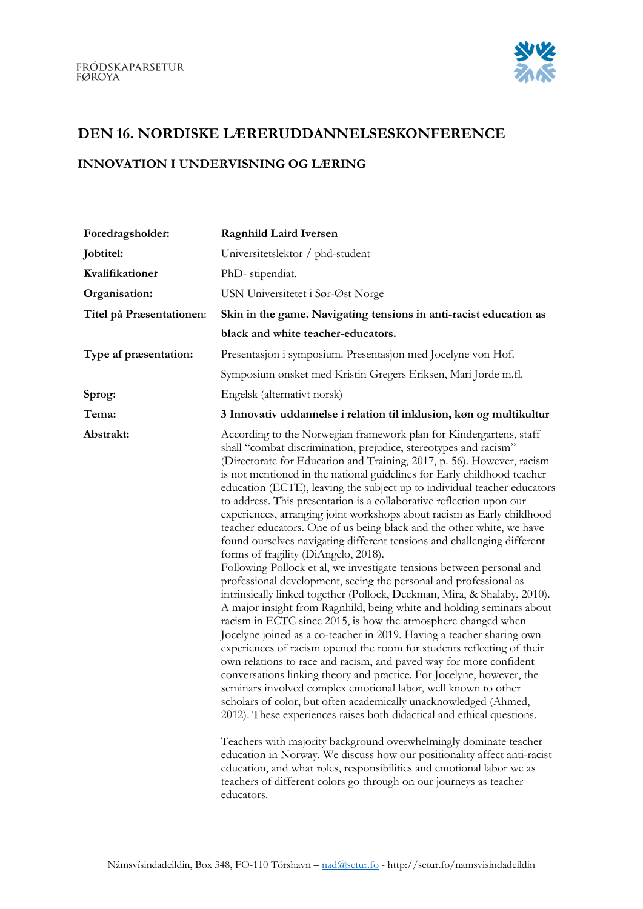

## DEN 16. NORDISKE LÆRERUDDANNELSESKONFERENCE

## INNOVATION I UNDERVISNING OG LÆRING

| Foredragsholder:         | <b>Ragnhild Laird Iversen</b>                                                                                                                                                                                                                                                                                                                                                                                                                                                                                                                                                                                                                                                                                                                                                                                                                                                                                                                                                                                                                                                                                                                                                                                                                                                                                                                                                                                                                                                                                                                                                                                                                                                                                                                                                                                                                                                                                             |
|--------------------------|---------------------------------------------------------------------------------------------------------------------------------------------------------------------------------------------------------------------------------------------------------------------------------------------------------------------------------------------------------------------------------------------------------------------------------------------------------------------------------------------------------------------------------------------------------------------------------------------------------------------------------------------------------------------------------------------------------------------------------------------------------------------------------------------------------------------------------------------------------------------------------------------------------------------------------------------------------------------------------------------------------------------------------------------------------------------------------------------------------------------------------------------------------------------------------------------------------------------------------------------------------------------------------------------------------------------------------------------------------------------------------------------------------------------------------------------------------------------------------------------------------------------------------------------------------------------------------------------------------------------------------------------------------------------------------------------------------------------------------------------------------------------------------------------------------------------------------------------------------------------------------------------------------------------------|
| Jobtitel:                | Universitetslektor / phd-student                                                                                                                                                                                                                                                                                                                                                                                                                                                                                                                                                                                                                                                                                                                                                                                                                                                                                                                                                                                                                                                                                                                                                                                                                                                                                                                                                                                                                                                                                                                                                                                                                                                                                                                                                                                                                                                                                          |
| Kvalifikationer          | PhD-stipendiat.                                                                                                                                                                                                                                                                                                                                                                                                                                                                                                                                                                                                                                                                                                                                                                                                                                                                                                                                                                                                                                                                                                                                                                                                                                                                                                                                                                                                                                                                                                                                                                                                                                                                                                                                                                                                                                                                                                           |
| Organisation:            | USN Universitetet i Sør-Øst Norge                                                                                                                                                                                                                                                                                                                                                                                                                                                                                                                                                                                                                                                                                                                                                                                                                                                                                                                                                                                                                                                                                                                                                                                                                                                                                                                                                                                                                                                                                                                                                                                                                                                                                                                                                                                                                                                                                         |
| Titel på Præsentationen: | Skin in the game. Navigating tensions in anti-racist education as                                                                                                                                                                                                                                                                                                                                                                                                                                                                                                                                                                                                                                                                                                                                                                                                                                                                                                                                                                                                                                                                                                                                                                                                                                                                                                                                                                                                                                                                                                                                                                                                                                                                                                                                                                                                                                                         |
|                          | black and white teacher-educators.                                                                                                                                                                                                                                                                                                                                                                                                                                                                                                                                                                                                                                                                                                                                                                                                                                                                                                                                                                                                                                                                                                                                                                                                                                                                                                                                                                                                                                                                                                                                                                                                                                                                                                                                                                                                                                                                                        |
| Type af præsentation:    | Presentasjon i symposium. Presentasjon med Jocelyne von Hof.                                                                                                                                                                                                                                                                                                                                                                                                                                                                                                                                                                                                                                                                                                                                                                                                                                                                                                                                                                                                                                                                                                                                                                                                                                                                                                                                                                                                                                                                                                                                                                                                                                                                                                                                                                                                                                                              |
|                          | Symposium ønsket med Kristin Gregers Eriksen, Mari Jorde m.fl.                                                                                                                                                                                                                                                                                                                                                                                                                                                                                                                                                                                                                                                                                                                                                                                                                                                                                                                                                                                                                                                                                                                                                                                                                                                                                                                                                                                                                                                                                                                                                                                                                                                                                                                                                                                                                                                            |
| Sprog:                   | Engelsk (alternativt norsk)                                                                                                                                                                                                                                                                                                                                                                                                                                                                                                                                                                                                                                                                                                                                                                                                                                                                                                                                                                                                                                                                                                                                                                                                                                                                                                                                                                                                                                                                                                                                                                                                                                                                                                                                                                                                                                                                                               |
| Tema:                    | 3 Innovativ uddannelse i relation til inklusion, køn og multikultur                                                                                                                                                                                                                                                                                                                                                                                                                                                                                                                                                                                                                                                                                                                                                                                                                                                                                                                                                                                                                                                                                                                                                                                                                                                                                                                                                                                                                                                                                                                                                                                                                                                                                                                                                                                                                                                       |
| Abstrakt:                | According to the Norwegian framework plan for Kindergartens, staff<br>shall "combat discrimination, prejudice, stereotypes and racism"<br>(Directorate for Education and Training, 2017, p. 56). However, racism<br>is not mentioned in the national guidelines for Early childhood teacher<br>education (ECTE), leaving the subject up to individual teacher educators<br>to address. This presentation is a collaborative reflection upon our<br>experiences, arranging joint workshops about racism as Early childhood<br>teacher educators. One of us being black and the other white, we have<br>found ourselves navigating different tensions and challenging different<br>forms of fragility (DiAngelo, 2018).<br>Following Pollock et al, we investigate tensions between personal and<br>professional development, seeing the personal and professional as<br>intrinsically linked together (Pollock, Deckman, Mira, & Shalaby, 2010).<br>A major insight from Ragnhild, being white and holding seminars about<br>racism in ECTC since 2015, is how the atmosphere changed when<br>Jocelyne joined as a co-teacher in 2019. Having a teacher sharing own<br>experiences of racism opened the room for students reflecting of their<br>own relations to race and racism, and paved way for more confident<br>conversations linking theory and practice. For Jocelyne, however, the<br>seminars involved complex emotional labor, well known to other<br>scholars of color, but often academically unacknowledged (Ahmed,<br>2012). These experiences raises both didactical and ethical questions.<br>Teachers with majority background overwhelmingly dominate teacher<br>education in Norway. We discuss how our positionality affect anti-racist<br>education, and what roles, responsibilities and emotional labor we as<br>teachers of different colors go through on our journeys as teacher<br>educators. |